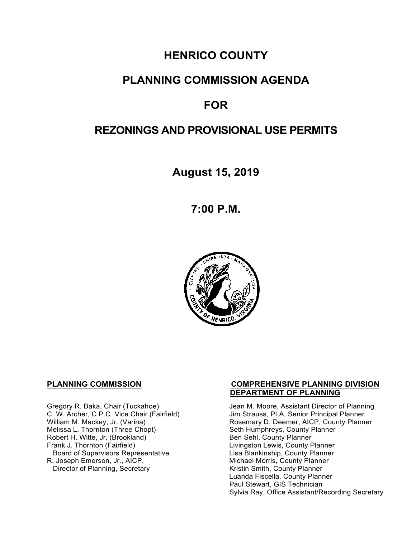# **HENRICO COUNTY**

# **PLANNING COMMISSION AGENDA**

# **FOR**

# **REZONINGS AND PROVISIONAL USE PERMITS**

**August 15, 2019**

**7:00 P.M.**



Melissa L. Thornton (Three Chopt) Seth Humphreys, County F<br>
Robert H. Witte, Jr. (Brookland) Seth Sehl, County Planner Robert H. Witte, Jr. (Brookland)<br>Frank J. Thornton (Fairfield) Board of Supervisors Representative Lisa Blankinship, County Planner<br>R. Joseph Emerson, Jr., AICP, Michael Morris, County Planner Director of Planning, Secretary

#### **PLANNING COMMISSION COMPREHENSIVE PLANNING DIVISION DEPARTMENT OF PLANNING**

Gregory R. Baka, Chair (Tuckahoe) Jean M. Moore, Assistant Director of Planning<br>C. W. Archer, C.P.C. Vice Chair (Fairfield) Jim Strauss, PLA, Senior Principal Planner C. W. Archer, C.P.C. Vice Chair (Fairfield) Jim Strauss, PLA, Senior Principal Planner<br>William M. Mackey, Jr. (Varina) Sand Chair Cosemary D. Deemer, AICP, County Planner Rosemary D. Deemer, AICP, County Planner<br>Seth Humphreys, County Planner Livingston Lewis, County Planner Michael Morris, County Planner<br>Kristin Smith, County Planner Luanda Fiscella, County Planner Paul Stewart, GIS Technician Sylvia Ray, Office Assistant/Recording Secretary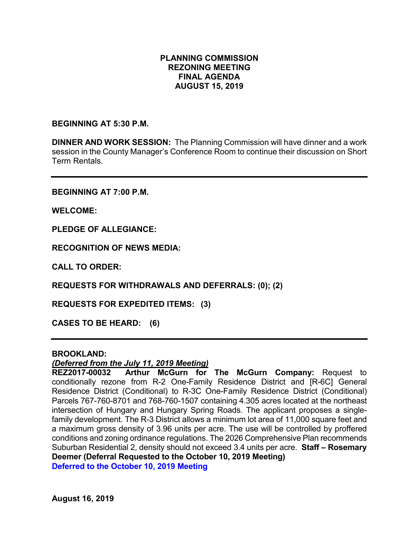## **PLANNING COMMISSION REZONING MEETING FINAL AGENDA AUGUST 15, 2019**

#### **BEGINNING AT 5:30 P.M.**

**DINNER AND WORK SESSION:** The Planning Commission will have dinner and a work session in the County Manager's Conference Room to continue their discussion on Short Term Rentals.

**BEGINNING AT 7:00 P.M.**

**WELCOME:**

**PLEDGE OF ALLEGIANCE:**

**RECOGNITION OF NEWS MEDIA:**

**CALL TO ORDER:**

**REQUESTS FOR WITHDRAWALS AND DEFERRALS: (0); (2)**

**REQUESTS FOR EXPEDITED ITEMS: (3)**

**CASES TO BE HEARD: (6)**

#### **BROOKLAND:**

### *(Deferred from the July 11, 2019 Meeting)*

**REZ2017-00032 Arthur McGurn for The McGurn Company:** Request to conditionally rezone from R-2 One-Family Residence District and [R-6C] General Residence District (Conditional) to R-3C One-Family Residence District (Conditional) Parcels 767-760-8701 and 768-760-1507 containing 4.305 acres located at the northeast intersection of Hungary and Hungary Spring Roads. The applicant proposes a singlefamily development. The R-3 District allows a minimum lot area of 11,000 square feet and a maximum gross density of 3.96 units per acre. The use will be controlled by proffered conditions and zoning ordinance regulations. The 2026 Comprehensive Plan recommends Suburban Residential 2, density should not exceed 3.4 units per acre. **Staff – Rosemary Deemer (Deferral Requested to the October 10, 2019 Meeting)**

**Deferred to the October 10, 2019 Meeting**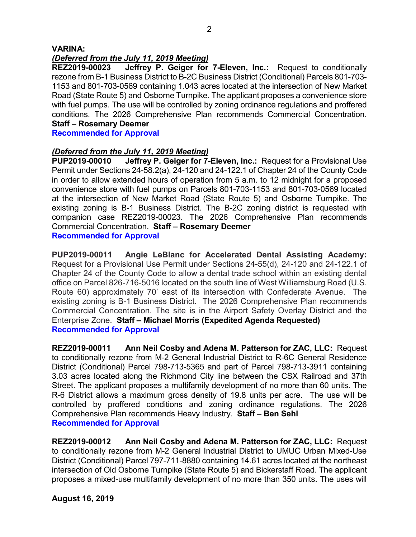### **VARINA:**

*(Deferred from the July 11, 2019 Meeting)* **Jeffrey P. Geiger for 7-Eleven, Inc.:** Request to conditionally rezone from B-1 Business District to B-2C Business District (Conditional) Parcels 801-703- 1153 and 801-703-0569 containing 1.043 acres located at the intersection of New Market Road (State Route 5) and Osborne Turnpike. The applicant proposes a convenience store with fuel pumps. The use will be controlled by zoning ordinance regulations and proffered conditions. The 2026 Comprehensive Plan recommends Commercial Concentration. **Staff – Rosemary Deemer**

**Recommended for Approval**

# *(Deferred from the July 11, 2019 Meeting)*

**PUP2019-00010 Jeffrey P. Geiger for 7-Eleven, Inc.:** Request for a Provisional Use Permit under Sections 24-58.2(a), 24-120 and 24-122.1 of Chapter 24 of the County Code in order to allow extended hours of operation from 5 a.m. to 12 midnight for a proposed convenience store with fuel pumps on Parcels 801-703-1153 and 801-703-0569 located at the intersection of New Market Road (State Route 5) and Osborne Turnpike. The existing zoning is B-1 Business District. The B-2C zoning district is requested with companion case REZ2019-00023. The 2026 Comprehensive Plan recommends Commercial Concentration. **Staff – Rosemary Deemer Recommended for Approval**

**PUP2019-00011 Angie LeBlanc for Accelerated Dental Assisting Academy:** Request for a Provisional Use Permit under Sections 24-55(d), 24-120 and 24-122.1 of Chapter 24 of the County Code to allow a dental trade school within an existing dental office on Parcel 826-716-5016 located on the south line of West Williamsburg Road (U.S. Route 60) approximately 70' east of its intersection with Confederate Avenue. The existing zoning is B-1 Business District. The 2026 Comprehensive Plan recommends Commercial Concentration. The site is in the Airport Safety Overlay District and the Enterprise Zone. **Staff – Michael Morris (Expedited Agenda Requested) Recommended for Approval**

**REZ2019-00011 Ann Neil Cosby and Adena M. Patterson for ZAC, LLC:** Request to conditionally rezone from M-2 General Industrial District to R-6C General Residence District (Conditional) Parcel 798-713-5365 and part of Parcel 798-713-3911 containing 3.03 acres located along the Richmond City line between the CSX Railroad and 37th Street. The applicant proposes a multifamily development of no more than 60 units. The R-6 District allows a maximum gross density of 19.8 units per acre. The use will be controlled by proffered conditions and zoning ordinance regulations. The 2026 Comprehensive Plan recommends Heavy Industry. **Staff – Ben Sehl Recommended for Approval**

**REZ2019-00012 Ann Neil Cosby and Adena M. Patterson for ZAC, LLC:** Request to conditionally rezone from M-2 General Industrial District to UMUC Urban Mixed-Use District (Conditional) Parcel 797-711-8880 containing 14.61 acres located at the northeast intersection of Old Osborne Turnpike (State Route 5) and Bickerstaff Road. The applicant proposes a mixed-use multifamily development of no more than 350 units. The uses will

**August 16, 2019**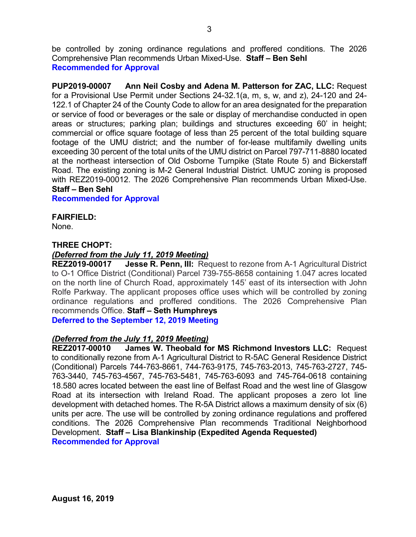be controlled by zoning ordinance regulations and proffered conditions. The 2026 Comprehensive Plan recommends Urban Mixed-Use. **Staff – Ben Sehl Recommended for Approval**

**PUP2019-00007 Ann Neil Cosby and Adena M. Patterson for ZAC, LLC:** Request for a Provisional Use Permit under Sections 24-32.1(a, m, s, w, and z), 24-120 and 24- 122.1 of Chapter 24 of the County Code to allow for an area designated for the preparation or service of food or beverages or the sale or display of merchandise conducted in open areas or structures; parking plan; buildings and structures exceeding 60' in height; commercial or office square footage of less than 25 percent of the total building square footage of the UMU district; and the number of for-lease multifamily dwelling units exceeding 30 percent of the total units of the UMU district on Parcel 797-711-8880 located at the northeast intersection of Old Osborne Turnpike (State Route 5) and Bickerstaff Road. The existing zoning is M-2 General Industrial District. UMUC zoning is proposed with REZ2019-00012. The 2026 Comprehensive Plan recommends Urban Mixed-Use. **Staff – Ben Sehl**

**Recommended for Approval**

**FAIRFIELD:** None.

# **THREE CHOPT:**

# *(Deferred from the July 11, 2019 Meeting)*

**REZ2019-00017 Jesse R. Penn, III:** Request to rezone from A-1 Agricultural District to O-1 Office District (Conditional) Parcel 739-755-8658 containing 1.047 acres located on the north line of Church Road, approximately 145' east of its intersection with John Rolfe Parkway. The applicant proposes office uses which will be controlled by zoning ordinance regulations and proffered conditions. The 2026 Comprehensive Plan recommends Office. **Staff – Seth Humphreys** 

**Deferred to the September 12, 2019 Meeting**

### *(Deferred from the July 11, 2019 Meeting)*

**REZ2017-00010 James W. Theobald for MS Richmond Investors LLC:** Request to conditionally rezone from A-1 Agricultural District to R-5AC General Residence District (Conditional) Parcels 744-763-8661, 744-763-9175, 745-763-2013, 745-763-2727, 745- 763-3440, 745-763-4567, 745-763-5481, 745-763-6093 and 745-764-0618 containing 18.580 acres located between the east line of Belfast Road and the west line of Glasgow Road at its intersection with Ireland Road. The applicant proposes a zero lot line development with detached homes. The R-5A District allows a maximum density of six (6) units per acre. The use will be controlled by zoning ordinance regulations and proffered conditions. The 2026 Comprehensive Plan recommends Traditional Neighborhood Development. **Staff – Lisa Blankinship (Expedited Agenda Requested) Recommended for Approval**